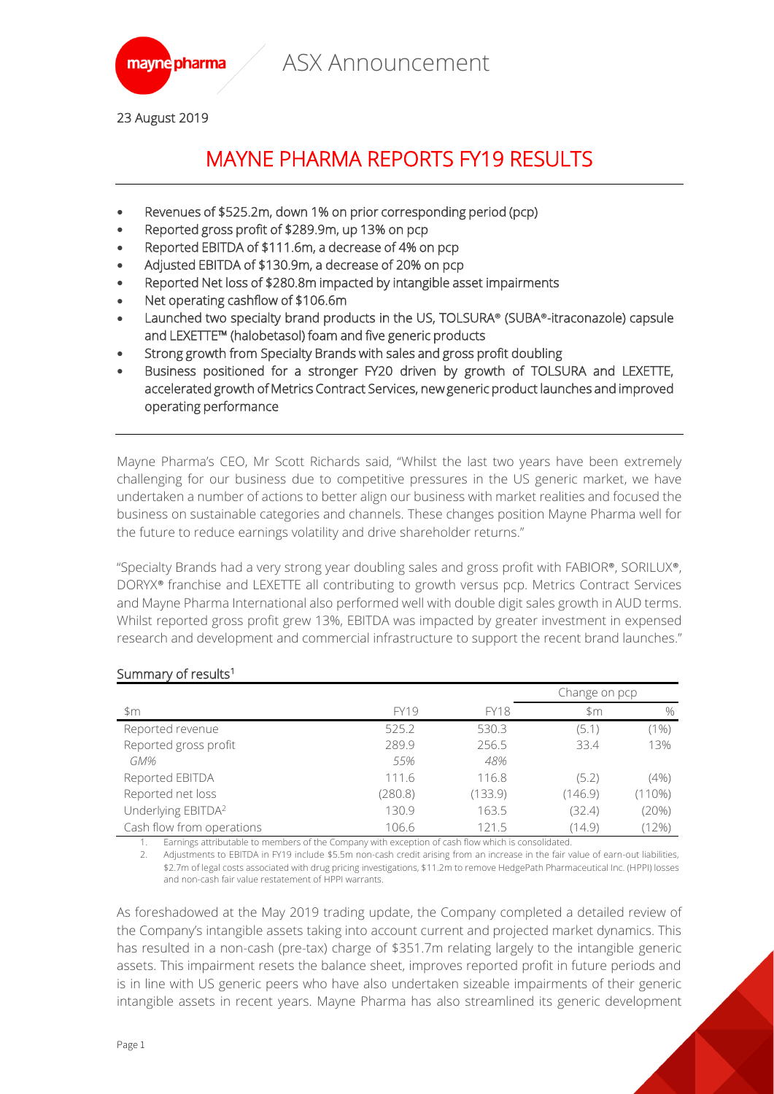

23 August 2019

# MAYNE PHARMA REPORTS FY19 RESULTS

- Revenues of \$525.2m, down 1% on prior corresponding period (pcp)
- Reported gross profit of \$289.9m, up 13% on pcp
- Reported EBITDA of \$111.6m, a decrease of 4% on pcp
- Adjusted EBITDA of \$130.9m, a decrease of 20% on pcp
- Reported Net loss of \$280.8m impacted by intangible asset impairments
- Net operating cashflow of \$106.6m
- Launched two specialty brand products in the US, TOLSURA**®** (SUBA**®**-itraconazole) capsule and LEXETTE™ (halobetasol) foam and five generic products
- Strong growth from Specialty Brands with sales and gross profit doubling
- Business positioned for a stronger FY20 driven by growth of TOLSURA and LEXETTE, accelerated growth of Metrics Contract Services, new generic product launches and improved operating performance

Mayne Pharma's CEO, Mr Scott Richards said, "Whilst the last two years have been extremely challenging for our business due to competitive pressures in the US generic market, we have undertaken a number of actions to better align our business with market realities and focused the business on sustainable categories and channels. These changes position Mayne Pharma well for the future to reduce earnings volatility and drive shareholder returns."

"Specialty Brands had a very strong year doubling sales and gross profit with FABIOR®, SORILUX®, DORYX® franchise and LEXETTE all contributing to growth versus pcp. Metrics Contract Services and Mayne Pharma International also performed well with double digit sales growth in AUD terms. Whilst reported gross profit grew 13%, EBITDA was impacted by greater investment in expensed research and development and commercial infrastructure to support the recent brand launches."

| ounniary or results.           |             |             |               |         |
|--------------------------------|-------------|-------------|---------------|---------|
|                                |             |             | Change on pcp |         |
| \$m                            | <b>FY19</b> | <b>FY18</b> | \$m           | $\%$    |
| Reported revenue               | 525.2       | 530.3       | (5.1)         | $(1\%)$ |
| Reported gross profit          | 289.9       | 256.5       | 33.4          | 13%     |
| GM%                            | 55%         | 48%         |               |         |
| Reported EBITDA                | 111.6       | 116.8       | (5.2)         | (4% )   |
| Reported net loss              | (280.8)     | (133.9)     | (146.9)       | (110%)  |
| Underlying EBITDA <sup>2</sup> | 130.9       | 163.5       | (32.4)        | (20%)   |
| Cash flow from operations      | 106.6       | 121.5       | (14.9)        | (12%)   |

### Summary of results<sup>1</sup>

1. Earnings attributable to members of the Company with exception of cash flow which is consolidated.

2. Adjustments to EBITDA in FY19 include \$5.5m non-cash credit arising from an increase in the fair value of earn-out liabilities, \$2.7m of legal costs associated with drug pricing investigations, \$11.2m to remove HedgePath Pharmaceutical Inc. (HPPI) losses and non-cash fair value restatement of HPPI warrants.

As foreshadowed at the May 2019 trading update, the Company completed a detailed review of the Company's intangible assets taking into account current and projected market dynamics. This has resulted in a non-cash (pre-tax) charge of \$351.7m relating largely to the intangible generic assets. This impairment resets the balance sheet, improves reported profit in future periods and is in line with US generic peers who have also undertaken sizeable impairments of their generic intangible assets in recent years. Mayne Pharma has also streamlined its generic development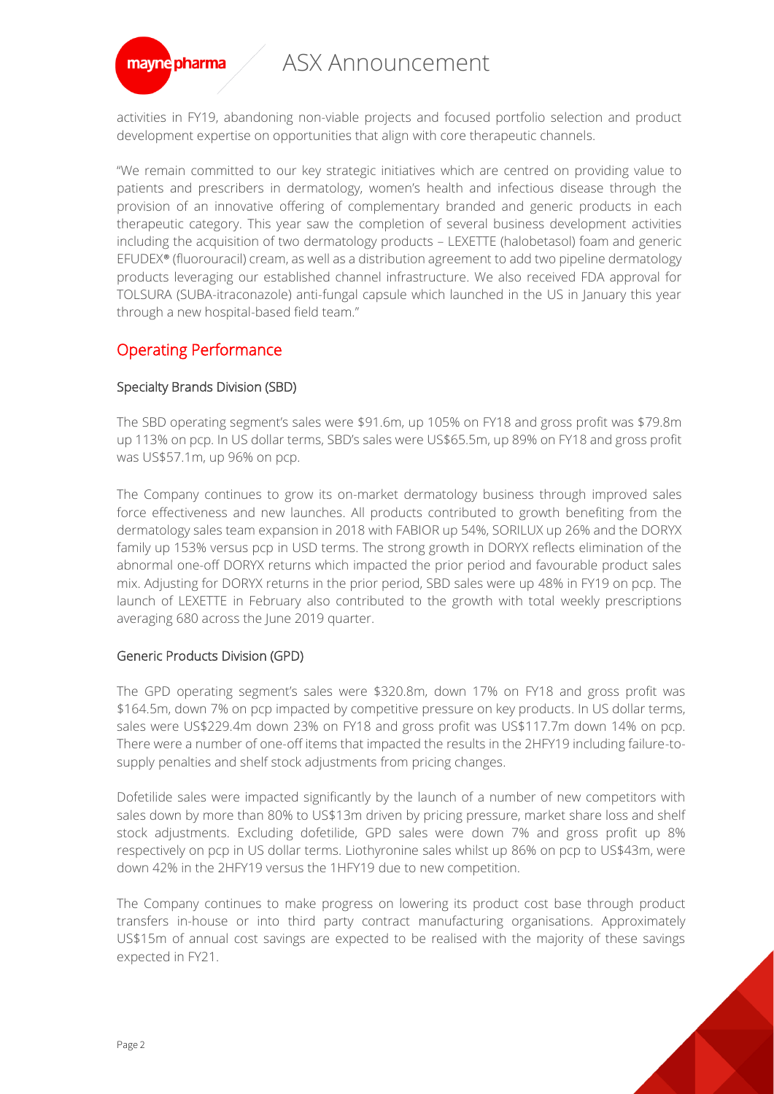

activities in FY19, abandoning non-viable projects and focused portfolio selection and product development expertise on opportunities that align with core therapeutic channels.

"We remain committed to our key strategic initiatives which are centred on providing value to patients and prescribers in dermatology, women's health and infectious disease through the provision of an innovative offering of complementary branded and generic products in each therapeutic category. This year saw the completion of several business development activities including the acquisition of two dermatology products – LEXETTE (halobetasol) foam and generic EFUDEX® (fluorouracil) cream, as well as a distribution agreement to add two pipeline dermatology products leveraging our established channel infrastructure. We also received FDA approval for TOLSURA (SUBA-itraconazole) anti-fungal capsule which launched in the US in January this year through a new hospital-based field team."

## Operating Performance

#### Specialty Brands Division (SBD)

The SBD operating segment's sales were \$91.6m, up 105% on FY18 and gross profit was \$79.8m up 113% on pcp. In US dollar terms, SBD's sales were US\$65.5m, up 89% on FY18 and gross profit was US\$57.1m, up 96% on pcp.

The Company continues to grow its on-market dermatology business through improved sales force effectiveness and new launches. All products contributed to growth benefiting from the dermatology sales team expansion in 2018 with FABIOR up 54%, SORILUX up 26% and the DORYX family up 153% versus pcp in USD terms. The strong growth in DORYX reflects elimination of the abnormal one-off DORYX returns which impacted the prior period and favourable product sales mix. Adjusting for DORYX returns in the prior period, SBD sales were up 48% in FY19 on pcp. The launch of LEXETTE in February also contributed to the growth with total weekly prescriptions averaging 680 across the June 2019 quarter.

### Generic Products Division (GPD)

The GPD operating segment's sales were \$320.8m, down 17% on FY18 and gross profit was \$164.5m, down 7% on pcp impacted by competitive pressure on key products. In US dollar terms, sales were US\$229.4m down 23% on FY18 and gross profit was US\$117.7m down 14% on pcp. There were a number of one-off items that impacted the results in the 2HFY19 including failure-tosupply penalties and shelf stock adjustments from pricing changes.

Dofetilide sales were impacted significantly by the launch of a number of new competitors with sales down by more than 80% to US\$13m driven by pricing pressure, market share loss and shelf stock adjustments. Excluding dofetilide, GPD sales were down 7% and gross profit up 8% respectively on pcp in US dollar terms. Liothyronine sales whilst up 86% on pcp to US\$43m, were down 42% in the 2HFY19 versus the 1HFY19 due to new competition.

The Company continues to make progress on lowering its product cost base through product transfers in-house or into third party contract manufacturing organisations. Approximately US\$15m of annual cost savings are expected to be realised with the majority of these savings expected in FY21.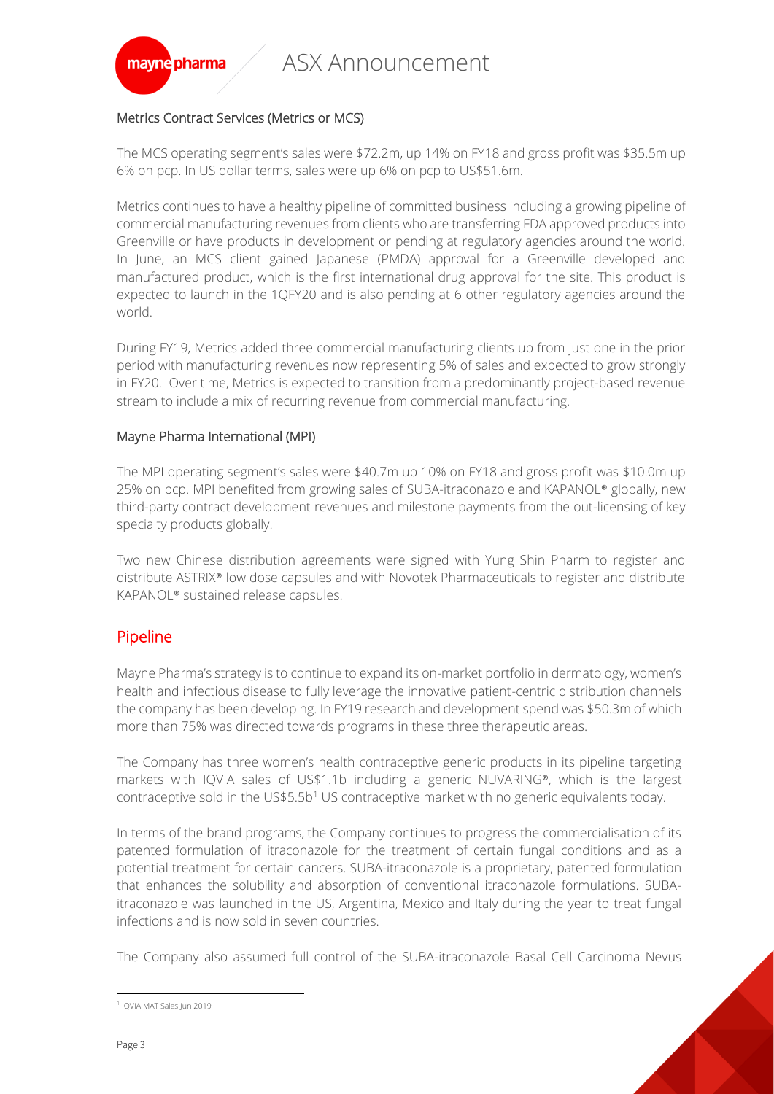

#### Metrics Contract Services (Metrics or MCS)

The MCS operating segment's sales were \$72.2m, up 14% on FY18 and gross profit was \$35.5m up 6% on pcp. In US dollar terms, sales were up 6% on pcp to US\$51.6m.

Metrics continues to have a healthy pipeline of committed business including a growing pipeline of commercial manufacturing revenues from clients who are transferring FDA approved products into Greenville or have products in development or pending at regulatory agencies around the world. In June, an MCS client gained Japanese (PMDA) approval for a Greenville developed and manufactured product, which is the first international drug approval for the site. This product is expected to launch in the 1QFY20 and is also pending at 6 other regulatory agencies around the world.

During FY19, Metrics added three commercial manufacturing clients up from just one in the prior period with manufacturing revenues now representing 5% of sales and expected to grow strongly in FY20. Over time, Metrics is expected to transition from a predominantly project-based revenue stream to include a mix of recurring revenue from commercial manufacturing.

#### Mayne Pharma International (MPI)

The MPI operating segment's sales were \$40.7m up 10% on FY18 and gross profit was \$10.0m up 25% on pcp. MPI benefited from growing sales of SUBA-itraconazole and KAPANOL® globally, new third-party contract development revenues and milestone payments from the out-licensing of key specialty products globally.

Two new Chinese distribution agreements were signed with Yung Shin Pharm to register and distribute ASTRIX® low dose capsules and with Novotek Pharmaceuticals to register and distribute KAPANOL® sustained release capsules.

## Pipeline

Mayne Pharma's strategy is to continue to expand its on-market portfolio in dermatology, women's health and infectious disease to fully leverage the innovative patient-centric distribution channels the company has been developing. In FY19 research and development spend was \$50.3m of which more than 75% was directed towards programs in these three therapeutic areas.

The Company has three women's health contraceptive generic products in its pipeline targeting markets with IQVIA sales of US\$1.1b including a generic NUVARING®, which is the largest contraceptive sold in the US\$5.5b<sup>1</sup> US contraceptive market with no generic equivalents today.

In terms of the brand programs, the Company continues to progress the commercialisation of its patented formulation of itraconazole for the treatment of certain fungal conditions and as a potential treatment for certain cancers. SUBA-itraconazole is a proprietary, patented formulation that enhances the solubility and absorption of conventional itraconazole formulations. SUBAitraconazole was launched in the US, Argentina, Mexico and Italy during the year to treat fungal infections and is now sold in seven countries.

The Company also assumed full control of the SUBA-itraconazole Basal Cell Carcinoma Nevus

 $\overline{a}$ 

<sup>1</sup> IQVIA MAT Sales Jun 2019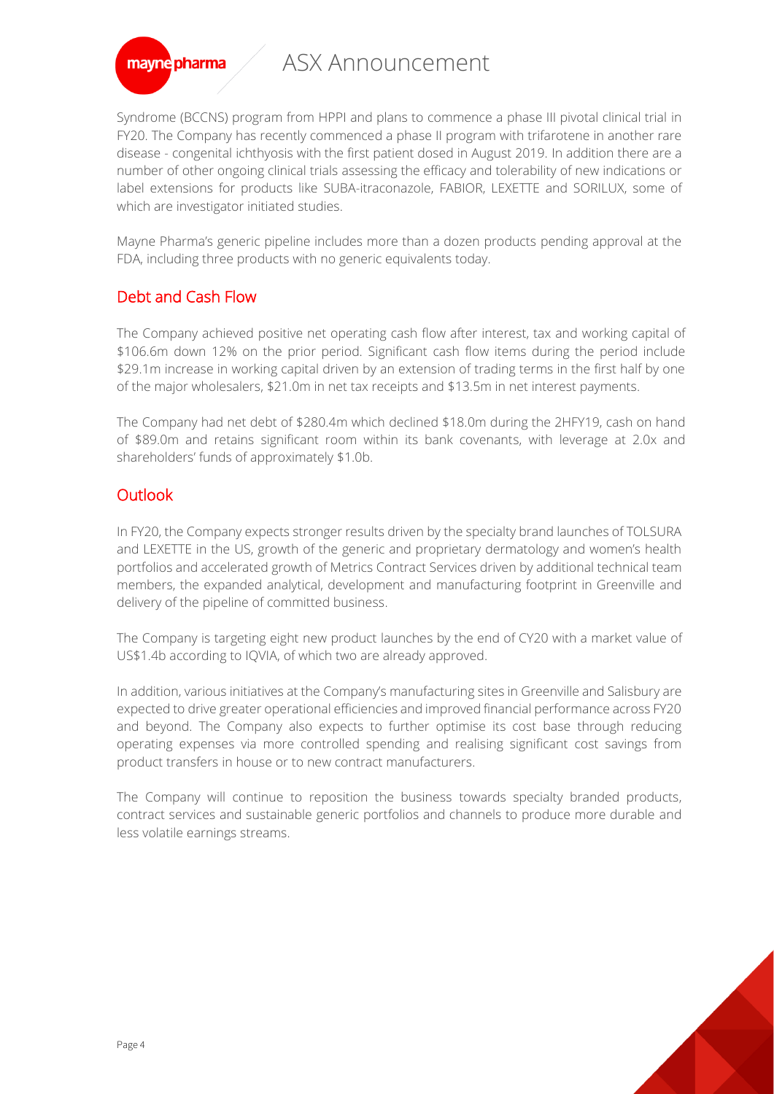

Syndrome (BCCNS) program from HPPI and plans to commence a phase III pivotal clinical trial in FY20. The Company has recently commenced a phase II program with trifarotene in another rare disease - congenital ichthyosis with the first patient dosed in August 2019. In addition there are a number of other ongoing clinical trials assessing the efficacy and tolerability of new indications or label extensions for products like SUBA-itraconazole, FABIOR, LEXETTE and SORILUX, some of which are investigator initiated studies.

Mayne Pharma's generic pipeline includes more than a dozen products pending approval at the FDA, including three products with no generic equivalents today.

# Debt and Cash Flow

The Company achieved positive net operating cash flow after interest, tax and working capital of \$106.6m down 12% on the prior period. Significant cash flow items during the period include \$29.1m increase in working capital driven by an extension of trading terms in the first half by one of the major wholesalers, \$21.0m in net tax receipts and \$13.5m in net interest payments.

The Company had net debt of \$280.4m which declined \$18.0m during the 2HFY19, cash on hand of \$89.0m and retains significant room within its bank covenants, with leverage at 2.0x and shareholders' funds of approximately \$1.0b.

# **Outlook**

In FY20, the Company expects stronger results driven by the specialty brand launches of TOLSURA and LEXETTE in the US, growth of the generic and proprietary dermatology and women's health portfolios and accelerated growth of Metrics Contract Services driven by additional technical team members, the expanded analytical, development and manufacturing footprint in Greenville and delivery of the pipeline of committed business.

The Company is targeting eight new product launches by the end of CY20 with a market value of US\$1.4b according to IQVIA, of which two are already approved.

In addition, various initiatives at the Company's manufacturing sites in Greenville and Salisbury are expected to drive greater operational efficiencies and improved financial performance across FY20 and beyond. The Company also expects to further optimise its cost base through reducing operating expenses via more controlled spending and realising significant cost savings from product transfers in house or to new contract manufacturers.

The Company will continue to reposition the business towards specialty branded products, contract services and sustainable generic portfolios and channels to produce more durable and less volatile earnings streams.